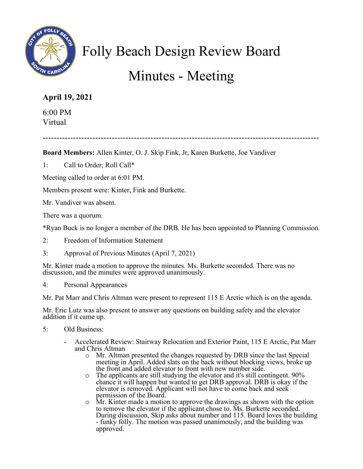

## Folly Beach Design Review Board

## Minutes - Meeting

## **April 19, 2021**

6:00 PM Virtual

----------------------------------------------------------------------------------------------------

**Board Members:** Allen Kinter, O. J. Skip Fink, Jr, Karen Burkette, Joe Vandiver

1: Call to Order; Roll Call\*

Meeting called to order at 6:01 PM.

Members present were: Kinter, Fink and Burkette.

Mr. Vandiver was absent.

There was a quorum.

\*Ryan Buck is no longer a member of the DRB. He has been appointed to Planning Commission.

- 2: Freedom of Information Statement
- 3: Approval of Previous Minutes (April 7, 2021)

Mr. Kinter made a motion to approve the minutes. Ms. Burkette seconded. There was no discussion, and the minutes were approved unanimously.

4: Personal Appearances

Mr. Pat Marr and Chris Altman were present to represent 115 E Arctic which is on the agenda.

Mr. Eric Lutz was also present to answer any questions on building safety and the elevator addition if it came up.

- 5: Old Business:
	- Accelerated Review: Stairway Relocation and Exterior Paint, 115 E Arctic, Pat Marr and Chris Altman
		- o Mr. Altman presented the changes requested by DRB since the last Special meeting in April. Added slats on the back without blocking views, broke up the front and added elevator to front with new number side.
		- o The applicants are still studying the elevator and it's still contingent. 90% chance it will happen but wanted to get DRB approval. DRB is okay if the elevator is removed. Applicant will not have to come back and seek permission of the Board.
		- o Mr. Kinter made a motion to approve the drawings as shown with the option to remove the elevator if the applicant chose to. Ms. Burkette seconded. During discussion, Skip asks about number and 115. Board loves the building - funky folly. The motion was passed unanimously, and the building was approved.